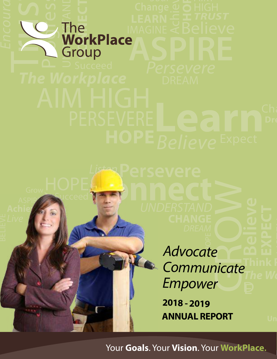# **ASPIRE** Trusted Sea **Provided**<br>
The<br>
Connect<br>
Connect<br>
Connect<br>
Connect<br>
Connect<br>
Connect<br>
Connect<br>
Connect<br>
Connect<br>
Connect<br>
Connect<br>
Connect<br>
Connect<br>
Connect<br>
Connect<br>
Connect<br>
Connect<br>
Connect<br>
Connect<br>
Connect<br>
Connect<br>
Connect<br>
Connect

Listen**Persevere**

**Succeed** 

Try

Achie **ASPIRE**  **Connect** 

GROW DREAM<br>A<br>Cocot **Think P Advocate Communicate** Empower

**2018 - 2019 ANNUAL REPORT**

The Wo

Your **Goals**. Your **Vision**. Your **WorkPlace.**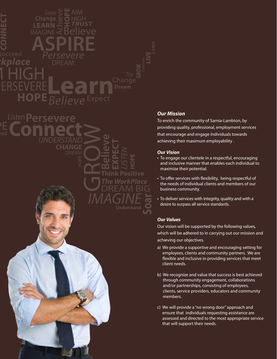

**CHANGE**

**SAN SAN SAN SECTION** 

**Believe**

**EXPECT**

IMAGINE

LISTEN **HOPE**

**Think Positive**

**The WorkPlace**

DREAM BIG<br>**IAGINE** 

#### **Our Mission**

To enrich the community of Sarnia-Lambton, by providing quality, professional, employment services that encourage and engage individuals towards achieving their maximum employability .

#### **Our Vision**

- To engage our clientele in a respectful, encouraging and inclusive manner that enables each individual to maximize their potential.
- To offer services with flexibility, being respectful of the needs of individual clients and members of our business community.
- To deliver services with integrity, quality and with a desire to surpass all service standards.

#### **Our Values**

Our vision will be supported by the following values, which will be adhered to in carrying out our mission and achieving our objectives.

- a) We provide a supportive and encouraging setting for employees, clients and community partners. We are flexible and inclusive in providing services that meet client needs.
- b) We recognize and value that success is best achieved through community engagement, collaborations and/or partnerships, consisting of employees, clients, service providers, educators and community members.
- c) We will provide a "no wrong door" approach and ensure that individuals requesting assistance are assessed and directed to the most appropriate service that will support their needs.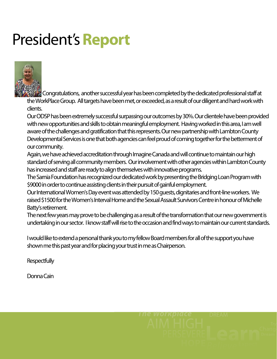# President's **Report**



 Congratulations, another successful year has been completed by the dedicated professional staff at the WorkPlace Group. All targets have been met, or exceeded, as a result of our diligent and hard work with clients.

Our ODSP has been extremely successful surpassing our outcomes by 30%. Our clientele have been provided with new opportunities and skills to obtain meaningful employment. Having worked in this area, I am well aware of the challenges and gratification that this represents. Our new partnership with Lambton County Developmental Services is one that both agencies can feel proud of coming together for the betterment of our community.

Again, we have achieved accreditation through Imagine Canada and will continue to maintain our high standard of serving all community members. Our involvement with other agencies within Lambton County has increased and staff are ready to align themselves with innovative programs.

The Sarnia Foundation has recognized our dedicated work by presenting the Bridging Loan Program with \$9000 in order to continue assisting clients in their pursuit of gainful employment.

Our International Women's Day event was attended by 150 guests, dignitaries and front-line workers. We raised \$1500 for the Women's Interval Home and the Sexual Assault Survivors Centre in honour of Michelle Batty's retirement.

The next few years may prove to be challenging as a result of the transformation that our new government is undertaking in our sector. I know staff will rise to the occasion and find ways to maintain our current standards.

I would like to extend a personal thank you to my fellow Board members for all of the support you have shown me this past year and for placing your trust in me as Chairperson.

**Respectfully** 

Donna Cain

Persevere **The Workplace**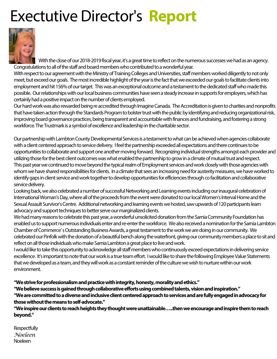# Exectutive Director's **Report**



 With the close of our 2018-2019 fiscal year, it's a great time to reflect on the numerous successes we had as an agency. Congratulations to all of the staff and board members who contributed to a wonderful year.

With respect to our agreement with the Ministry of Training Colleges and Universities, staff members worked diligently to not only meet, but exceed our goals. The most incredible highlight of the year is the fact that we exceeded our goals to facilitate clients into employment and hit 156% of our target. This was an exceptional outcome and a testament to the dedicated staff who made this possible. Our relationships with our local business communities have seen a steady increase in supports for employers, which has certainly had a positive impact on the number of clients employed.

Our hard work was also rewarded being re accredited through Imagine Canada. The Accreditation is given to charities and nonprofits that have taken action through the Standards Program to bolster trust with the public by identifying and reducing organizational risk, improving board governance practices, being transparent and accountable with finances and fundraising, and fostering a strong workforce. The Trustmark is a symbol of excellence and leadership in the charitable sector.

Our partnership with Lambton County Developmental Services is a testament to what can be achieved when agencies collaborate with a client centered approach to service delivery. I feel the partnership exceeded all expectations and there continues to be opportunities to collaborate and support one another moving forward. Recognizing individual strengths amongst each provider and utilizing those for the best client outcomes was what enabled the partnership to grow in a climate of mutual trust and respect. This past year we continued to move beyond the typical realm of Employment services and work closely with those agencies with whom we have shared responsibilities for clients. In a climate that sees an increasing need for austerity measures, we have worked to identify gaps in client service and work together to develop opportunities for efficiencies through co facilitation and collaborative service delivery.

Looking back, we also celebrated a number of successful Networking and Learning events including our inaugural celebration of International Woman's Day, where all of the proceeds from the event were donated to our local Women's Interval Home and the Sexual Assault Survivor's Centre. Additional networking and learning events we hosted, saw upwards of 120 participants learn advocacy and support techniques to better serve our marginalized clients.

We had many reasons to celebrate this past year, a wonderful unsolicited donation from the Sarnia Community Foundation has enabled us to support numerous individuals enter and re-enter the workforce. We also received a nomination for the Sarnia Lambton Chamber of Commerce' s Outstanding Business Awards, a great testament to the work we are doing in our community. We celebrated our Pinfolk with the donation of a beautiful bench along the waterfront, giving our community members a place to sit and reflect on all those individuals who make Sarnia Lambton a great place to live and work.

I would like to take this opportunity to acknowledge all staff members who continuously exceed expectations in delivering service excellence. It's important to note that our work is a true team effort. I would like to share the following Employee Value Statements that we developed as a team, and they will work as a constant reminder of the culture we wish to nurture within our work environment.

#### **"We strive for professionalism and practice with integrity, honesty, morality and ethics."**

**"We believe success is gained through collaborative efforts using combined talents, vision and inspiration." "We are committed to a diverse and inclusive client centered approach to services and are fully engaged in advocacy for those without the means to self-advocate."**

**"We inspire our clients to reach heights they thought were unattainable…..then we encourage and inspire them to reach beyond."**

**Respectfully** *Noeleen* Noeleen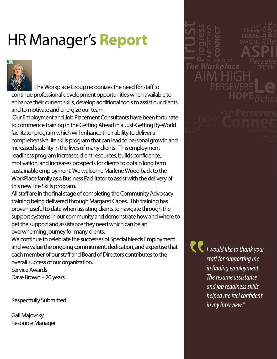# HR Manager's **Report**



The Workplace Group recognizes the need for staff to continue professional development opportunities when available to enhance their current skills, develop additional tools to assist our clients, and to motivate and energize our team.

 Our Employment and Job Placement Consultants have been fortunate to commence training in the Getting Ahead in a Just-Getting By-World facilitator program which will enhance their ability to deliver a comprehensive life skills program that can lead to personal growth and increased stability in the lives of many clients. This employment readiness program increases client resources, builds confidence, motivation, and increases prospects for clients to obtain long term sustainable employment. We welcome Marlene Wood back to the WorkPlace family as a Business Facilitator to assist with the delivery of this new Life Skills program.

All staff are in the final stage of completing the Community Advocacy training being delivered through Margaret Capes. This training has proven useful to date when assisting clients to navigate through the support systems in our community and demonstrate how and where to get the support and assistance they need which can be an overwhelming journey for many clients.

We continue to celebrate the successes of Special Needs Employment and we value the ongoing commitment, dedication, and expertise that each member of our staff and Board of Directors contributes to the overall success of our organization.

Service Awards Dave Brown – 20 years

Respectfully Submitted

Gail Majovsky Resource Manager



**hieve Live** 

> **C** I would like to thank your staff for supporting me in finding employment. The resume assistance and job readiness skills helped me feel confident in my interview."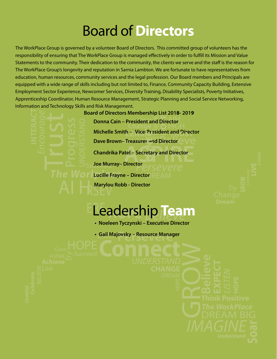## Board of**Directors**

The WorkPlace Group is governed by a volunteer Board of Directors. This committed group of volunteers has the responsibility of ensuring that The WorkPlace Group is managed effectively in order to fulfill its Mission and Value Statements to the community. Their dedication to the community, the clients we serve and the staff is the reason for The WorkPlace Group's longevity and reputation in Sarnia Lambton. We are fortunate to have representatives from education, human resources, community services and the legal profession. Our Board members and Principals are equipped with a wide range of skills including but not limited to, Finance, Community Capacity Building, Extensive Employment Sector Experience, Newcomer Services, Diversity Training, Disability Specialists, Poverty Initiatives, Apprenticeship Coordinator, Human Resource Management, Strategic Planning and Social Service Networking, Information and Technology Skills and Risk Management.

> **Donna Cain – President and Director Board of Directors Membership List 2018-2019**

Example Manual Director<br>
ange Morelland Price-President and Price-President and Price<br>
Surer and Director<br>
Secretary and Director<br>
Secretary and Director<br>
The MSEVETE **Example 19**<br> **President a**<br> **President a**<br> **President a**<br> **DREAM Dave Brown– Treasurer and Director**  $\bigcirc \bigvee \bigcirc$ **HIGH** h – Vice-P **Michelle Smith – Vice-President and Director** r and<br>etary

**ASPIRER AND THE SECTION OF A SPIRE SECTION AND THE SPIRE SECTION OF A SPIRE SPIRE SPIRE SPIRE SPIRE SPIRE SPIRE SPIRE SPIRE SPIRE SPIRE SPIRE SPIRE SPIRE SPIRE SPIRE SPIRE SPIRE SPIRE SPIRE SPIRE SPIRE SPIRE SPIRE SPIRE S Chandrika Patel – Secretary and Director** 

**Joe Murray– Director** 

**Lucille Frayne – Director** 

RSEV **Marylou Robb - Director** 

### **ID** | Ed **ELeadership Team**

- **Noeleen Tyczynski Executive Director**
- Listen**Persevere Connect Gail Majovsky Resource Manager**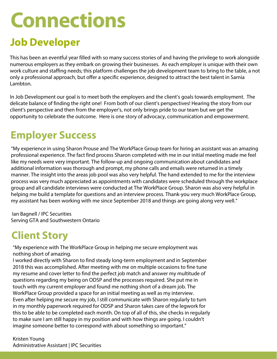# **Connections**

## **Job Developer**

This has been an eventful year filled with so many success stories of and having the privilege to work alongside numerous employers as they embark on growing their businesses. As each employer is unique with their own work culture and staffing needs; this platform challenges the job development team to bring to the table, a not only a professional approach, but offer a specific experience, designed to attract the best talent in Sarnia Lambton.

In Job Development our goal is to meet both the employers and the client's goals towards employment. The delicate balance of finding the right one! From both of our client's perspectives! Hearing the story from our client's perspective and then from the employer's, not only brings pride to our team but we get the opportunity to celebrate the outcome. Here is one story of advocacy, communication and empowerment.

## **Employer Success**

"My experience in using Sharon Prouse and The WorkPlace Group team for hiring an assistant was an amazing professional experience. The fact find process Sharon completed with me in our initial meeting made me feel like my needs were very important. The follow-up and ongoing communication about candidates and additional information was thorough and prompt, my phone calls and emails were returned in a timely manner. The insight into the areas job pool was also very helpful. The hand extended to me for the interview process was very much appreciated as appointments with candidates were scheduled through the workplace group and all candidate interviews were conducted at The WorkPlace Group. Sharon was also very helpful in helping me build a template for questions and an interview process. Thank-you very much WorkPlace Group, my assistant has been working with me since September 2018 and things are going along very well."

 Ian Bagnell / IPC Securities Serving GTA and Southwestern Ontario

## **Client Story**

"My experience with The WorkPlace Group in helping me secure employment was nothing short of amazing.

I worked directly with Sharon to find steady long-term employment and in September 2018 this was accomplished. After meeting with me on multiple occasions to fine tune my resume and cover letter to find the perfect job match and answer my multitude of questions regarding my being on ODSP and the processes required. She put me in touch with my current employer and found me nothing short of a dream job. The WorkPlace Group provided a space for an initial meeting as well as my interview. Even after helping me secure my job, I still communicate with Sharon regularly to turn in my monthly paperwork required for ODSP and Sharon takes care of the legwork for this to be able to be completed each month. On top of all of this, she checks in regularly to make sure I am still happy in my position and with how things are going. I couldn't imagine someone better to correspond with about something so important."

Kristen Young Administrative Assistant | IPC Securities